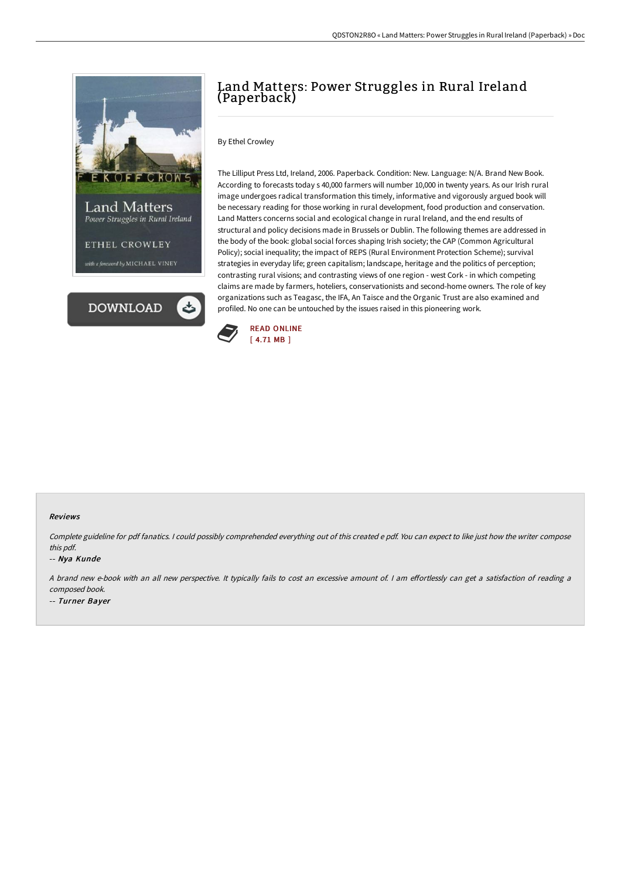

# Land Matters: Power Struggles in Rural Ireland (Paperback)

## By Ethel Crowley

The Lilliput Press Ltd, Ireland, 2006. Paperback. Condition: New. Language: N/A. Brand New Book. According to forecasts today s 40,000 farmers will number 10,000 in twenty years. As our Irish rural image undergoes radical transformation this timely, informative and vigorously argued book will be necessary reading for those working in rural development, food production and conservation. Land Matters concerns social and ecological change in rural Ireland, and the end results of structural and policy decisions made in Brussels or Dublin. The following themes are addressed in the body of the book: global social forces shaping Irish society; the CAP (Common Agricultural Policy); social inequality; the impact of REPS (Rural Environment Protection Scheme); survival strategies in everyday life; green capitalism; landscape, heritage and the politics of perception; contrasting rural visions; and contrasting views of one region - west Cork - in which competing claims are made by farmers, hoteliers, conservationists and second-home owners. The role of key organizations such as Teagasc, the IFA, An Taisce and the Organic Trust are also examined and profiled. No one can be untouched by the issues raised in this pioneering work.



#### Reviews

Complete guideline for pdf fanatics. <sup>I</sup> could possibly comprehended everything out of this created <sup>e</sup> pdf. You can expect to like just how the writer compose this pdf.

#### -- Nya Kunde

A brand new e-book with an all new perspective. It typically fails to cost an excessive amount of. I am effortlessly can get a satisfaction of reading a composed book.

-- Turner Bayer